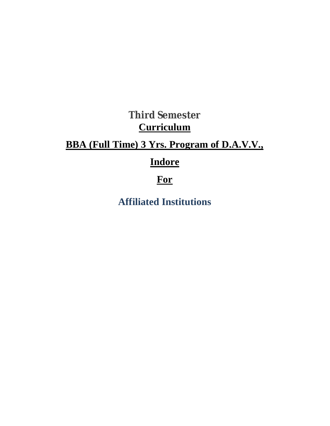## **Third Semester Curriculum**

## **BBA (Full Time) 3 Yrs. Program of D.A.V.V.,**

## **Indore**

## **For**

**Affiliated Institutions**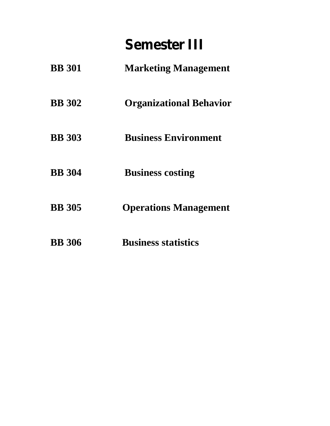# **Semester III**

| <b>BB</b> 301 | <b>Marketing Management</b>    |
|---------------|--------------------------------|
| <b>BB</b> 302 | <b>Organizational Behavior</b> |
| <b>BB</b> 303 | <b>Business Environment</b>    |
| <b>BB</b> 304 | <b>Business costing</b>        |
| <b>BB</b> 305 | <b>Operations Management</b>   |
| <b>BB</b> 306 | <b>Business statistics</b>     |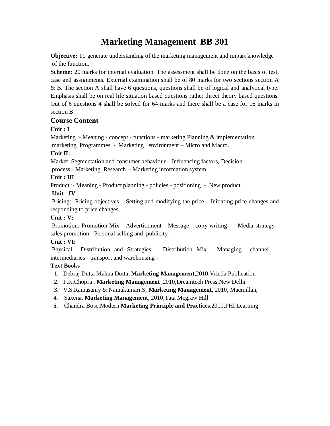### **Marketing Management BB 301**

**Objective:** To generate understanding of the marketing management and impart knowledge of the function.

**Scheme:** 20 marks for internal evaluation. The assessment shall be done on the basis of test, case and assignments. External examination shall be of 80 marks for two sections section A & B. The section A shall have 6 questions, questions shall be of logical and analytical type. Emphasis shall be on real life situation based questions rather direct theory based questions. Out of 6 questions 4 shall be solved for 64 marks and there shall be a case for 16 marks in section B.

### **Course Content**

### **Unit : I**

Marketing :- Meaning - concept - functions - marketing Planning & implementation marketing Programmes - Marketing environment – Micro and Macro.

### **Unit II:**

Market Segmentation and consumer behaviour – Influencing factors, Decision

process - Marketing Research - Marketing information system

### **Unit : III**

Product :- Meaning - Product planning - policies - positioning - New product **Unit : IV**

Pricing:- Pricing objectives – Setting and modifying the price – Initiating price changes and responding to price changes.

### **Unit : V:**

Promotion: Promotion Mix - Advertisement - Message - copy writing - Media strategy sales promotion - Personal selling and publicity.

### **Unit : VI:**

Physical Distribution and Strategies:- Distribution Mix - Managing channel intermediaries - transport and warehousing -

- 1. Debraj Dutta Mahua Dutta, **Marketing Management,**2010,Vrinda Publication
- 2. P.K.Chopra , **Marketing Management** ,2010,Dreamtech Press,New Delhi
- 3. V.S.Ramasamy & Namakumari.S, **Marketing Management**, 2010, Macmillan,
- 4. Saxena, **Marketing Management,** 2010,Tata Mcgraw Hill
- **5**. Chandra Bose,Modern **Marketing Principle and Practices,**2010,PHI Learning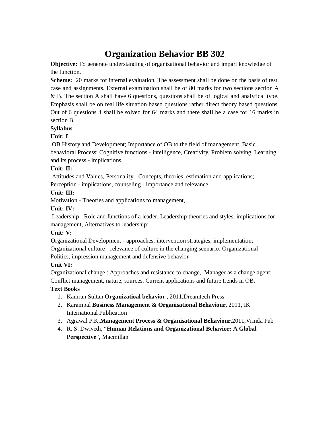## **Organization Behavior BB 302**

**Objective:** To generate understanding of organizational behavior and impart knowledge of the function.

**Scheme:** 20 marks for internal evaluation. The assessment shall be done on the basis of test, case and assignments. External examination shall be of 80 marks for two sections section A & B. The section A shall have 6 questions, questions shall be of logical and analytical type. Emphasis shall be on real life situation based questions rather direct theory based questions. Out of 6 questions 4 shall be solved for 64 marks and there shall be a case for 16 marks in section B.

### **Syllabus**

### **Unit: I**

OB History and Development; Importance of OB to the field of management. Basic behavioral Process: Cognitive functions - intelligence, Creativity, Problem solving, Learning and its process - implications,

### **Unit: II:**

Attitudes and Values, Personality - Concepts, theories, estimation and applications;

Perception - implications, counseling - importance and relevance.

### **Unit: III:**

Motivation - Theories and applications to management,

### **Unit: IV:**

Leadership - Role and functions of a leader, Leadership theories and styles, implications for management, Alternatives to leadership;

### **Unit: V:**

**O**rganizational Development - approaches, intervention strategies, implementation;

Organizational culture - relevance of culture in the changing scenario, Organizational

Politics, impression management and defensive behavior

### **Unit VI:**

Organizational change : Approaches and resistance to change, Manager as a change agent; Conflict management, nature, sources. Current applications and future trends in OB.

- 1. Kamran Sultan **Organizatioal behavior** , 2011,Dreamtech Press
- 2. Karampal **Business Management & Organisational Behaviour,** 2011, IK International Publication
- 3. Agrawal P.K,**Management Process & Organisational Behaviour**,2011,Vrinda Pub
- 4. R. S. Dwivedi, "**Human Relations and Organizational Behavior: A Global Perspective**", Macmillan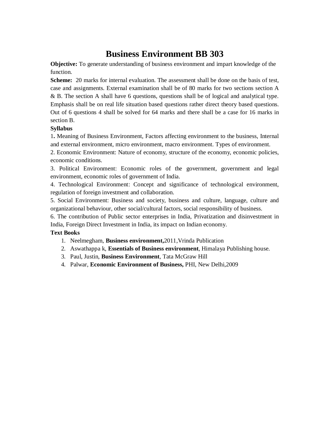### **Business Environment BB 303**

**Objective:** To generate understanding of business environment and impart knowledge of the function.

**Scheme:** 20 marks for internal evaluation. The assessment shall be done on the basis of test, case and assignments. External examination shall be of 80 marks for two sections section A & B. The section A shall have 6 questions, questions shall be of logical and analytical type. Emphasis shall be on real life situation based questions rather direct theory based questions. Out of 6 questions 4 shall be solved for 64 marks and there shall be a case for 16 marks in section B.

### **Syllabus**

1**.** Meaning of Business Environment, Factors affecting environment to the business, Internal and external environment, micro environment, macro environment. Types of environment.

2. Economic Environment: Nature of economy, structure of the economy, economic policies, economic conditions.

3. Political Environment: Economic roles of the government, government and legal environment, economic roles of government of India.

4. Technological Environment: Concept and significance of technological environment, regulation of foreign investment and collaboration.

5. Social Environment: Business and society, business and culture, language, culture and organizational behaviour, other social/cultural factors, social responsibility of business.

6. The contribution of Public sector enterprises in India, Privatization and disinvestment in India, Foreign Direct Investment in India, its impact on Indian economy.

- 1. Neelmegham, **Business environment,**2011,Vrinda Publication
- 2. Aswathappa k, **Essentials of Business environment**, Himalaya Publishing house.
- 3. Paul, Justin, **Business Environment**, Tata McGraw Hill
- 4. Palwar, **Economic Environment of Business,** PHI, New Delhi,2009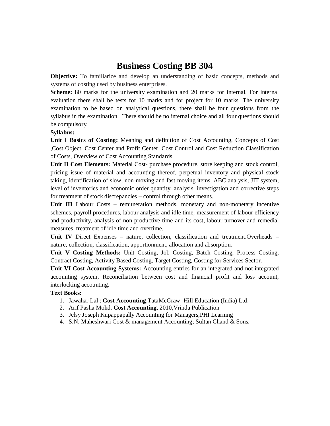### **Business Costing BB 304**

**Objective:** To familiarize and develop an understanding of basic concepts, methods and systems of costing used by business enterprises.

**Scheme:** 80 marks for the university examination and 20 marks for internal. For internal evaluation there shall be tests for 10 marks and for project for 10 marks. The university examination to be based on analytical questions, there shall be four questions from the syllabus in the examination. There should be no internal choice and all four questions should be compulsory.

#### **Syllabus:**

**Unit I Basics of Costing:** Meaning and definition of Cost Accounting, Concepts of Cost ,Cost Object, Cost Center and Profit Center, Cost Control and Cost Reduction Classification of Costs, Overview of Cost Accounting Standards.

**Unit II Cost Elements:** Material Cost- purchase procedure, store keeping and stock control, pricing issue of material and accounting thereof, perpetual inventory and physical stock taking, identification of slow, non-moving and fast moving items, ABC analysis, JIT system, level of inventories and economic order quantity, analysis, investigation and corrective steps for treatment of stock discrepancies – control through other means.

Unit III Labour Costs – remuneration methods, monetary and non-monetary incentive schemes, payroll procedures, labour analysis and idle time, measurement of labour efficiency and productivity, analysis of non productive time and its cost, labour turnover and remedial measures, treatment of idle time and overtime.

**Unit IV** Direct Expenses – nature, collection, classification and treatment.Overheads – nature, collection, classification, apportionment, allocation and absorption.

**Unit V Costing Methods:** Unit Costing, Job Costing, Batch Costing, Process Costing, Contract Costing, Activity Based Costing, Target Costing, Costing for Services Sector.

**Unit VI Cost Accounting Systems:** Accounting entries for an integrated and not integrated accounting system, Reconciliation between cost and financial profit and loss account, interlocking accounting.

- 1. Jawahar Lal : **Cost Accounting**;TataMcGraw- Hill Education (India) Ltd.
- 2. Arif Pasha Mohd. **Cost Accounting,** 2010,Vrinda Publication
- 3. Jelsy Joseph Kupappapally Accounting for Managers,PHI Learning
- 4. S.N. Maheshwari Cost & management Accounting; Sultan Chand & Sons,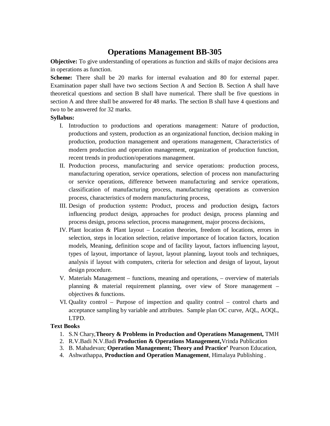### **Operations Management BB-305**

**Objective:** To give understanding of operations as function and skills of major decisions area in operations as function.

**Scheme:** There shall be 20 marks for internal evaluation and 80 for external paper. Examination paper shall have two sections Section A and Section B. Section A shall have theoretical questions and section B shall have numerical. There shall be five questions in section A and three shall be answered for 48 marks. The section B shall have 4 questions and two to be answered for 32 marks.

#### **Syllabus:**

- I. Introduction to productions and operations management: Nature of production, productions and system, production as an organizational function, decision making in production, production management and operations management, Characteristics of modern production and operation management, organization of production function, recent trends in production/operations management.
- II. Production process, manufacturing and service operations: production process, manufacturing operation, service operations, selection of process non manufacturing or service operations, difference between manufacturing and service operations, classification of manufacturing process, manufacturing operations as conversion process, characteristics of modern manufacturing process,
- III. Design of production system**:** Product, process and production design**,** factors influencing product design, approaches for product design, process planning and process design, process selection, process management, major process decisions,
- IV. Plant location & Plant layout Location theories, freedom of locations, errors in selection, steps in location selection, relative importance of location factors, location models, Meaning, definition scope and of facility layout, factors influencing layout, types of layout, importance of layout, layout planning, layout tools and techniques, analysis if layout with computers, criteria for selection and design of layout, layout design procedure.
- V. Materials Management functions, meaning and operations, overview of materials planning & material requirement planning, over view of Store management – objectives & functions.
- VI. Quality control Purpose of inspection and quality control control charts and acceptance sampling by variable and attributes. Sample plan OC curve, AQL, AOQL, LTPD.

- 1. S.N Chary,**Theory & Problems in Production and Operations Management,** TMH
- 2. R.V.Badi N.V.Badi **Production & Operations Management,**Vrinda Publication
- 3. B. Mahadevan; **Operation Management; Theory and Practice'** Pearson Education,
- 4. Ashwathappa, **Production and Operation Management**, Himalaya Publishing .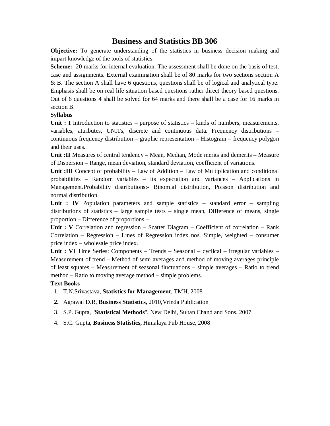### **Business and Statistics BB 306**

**Objective:** To generate understanding of the statistics in business decision making and impart knowledge of the tools of statistics.

**Scheme:** 20 marks for internal evaluation. The assessment shall be done on the basis of test, case and assignments. External examination shall be of 80 marks for two sections section A & B. The section A shall have 6 questions, questions shall be of logical and analytical type. Emphasis shall be on real life situation based questions rather direct theory based questions. Out of 6 questions 4 shall be solved for 64 marks and there shall be a case for 16 marks in section B.

### **Syllabus**

Unit : I Introduction to statistics – purpose of statistics – kinds of numbers, measurements, variables, attributes, UNITs, discrete and continuous data. Frequency distributions – continuous frequency distribution – graphic representation – Histogram – frequency polygon and their uses.

**Unit :II** Measures of central tendency – Mean, Median, Mode merits and demerits – Measure of Dispersion – Range, mean deviation, standard deviation, coefficient of variations.

**Unit :III** Concept of probability – Law of Addition – Law of Multiplication and conditional probabilities – Random variables – Its expectation and variances – Applications in Management.Probability distributions:- Binomial distribution, Poisson distribution and normal distribution.

**Unit : IV** Population parameters and sample statistics – standard error – sampling distributions of statistics – large sample tests – single mean, Difference of means, single proportion – Difference of proportions –

**Unit : V** Correlation and regression – Scatter Diagram – Coefficient of correlation – Rank Correlation – Regression – Lines of Regression index nos. Simple, weighted – consumer price index – wholesale price index.

**Unit : VI** Time Series: Components – Trends – Seasonal – cyclical – irregular variables – Measurement of trend – Method of semi averages and method of moving averages principle of least squares – Measurement of seasonal fluctuations – simple averages – Ratio to trend method – Ratio to moving average method – simple problems.

- 1. T.N.Srivastava, **Statistics for Management**, TMH, 2008
- **2.** Agrawal D.R, **Business Statistics,** 2010,Vrinda Publication
- 3. S.P. Gupta, "**Statistical Methods**", New Delhi, Sultan Chand and Sons, 2007
- 4. S.C. Gupta, **Business Statistics,** Himalaya Pub House, 2008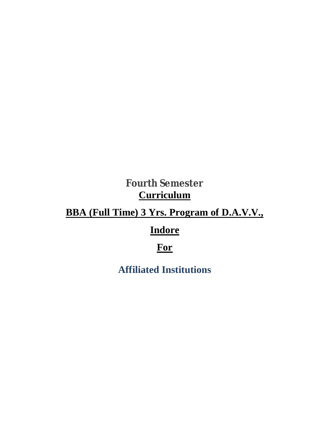## **Fourth Semester Curriculum**

## **BBA (Full Time) 3 Yrs. Program of D.A.V.V.,**

## **Indore**

## **For**

**Affiliated Institutions**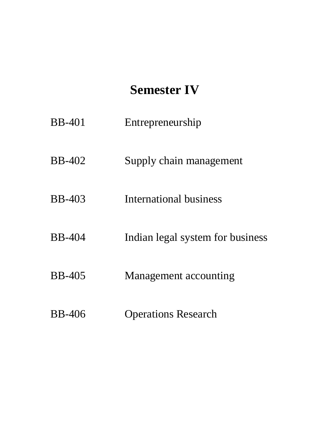## **Semester IV**

- BB-401 Entrepreneurship
- BB-402 Supply chain management
- BB-403 International business
- BB-404 Indian legal system for business
- BB-405 Management accounting
- BB-406 Operations Research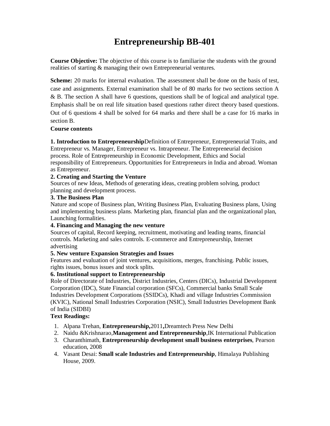## **Entrepreneurship BB-401**

**Course Objective:** The objective of this course is to familiarise the students with the ground realities of starting & managing their own Entrepreneurial ventures.

**Scheme:** 20 marks for internal evaluation. The assessment shall be done on the basis of test, case and assignments. External examination shall be of 80 marks for two sections section A & B. The section A shall have 6 questions, questions shall be of logical and analytical type. Emphasis shall be on real life situation based questions rather direct theory based questions. Out of 6 questions 4 shall be solved for 64 marks and there shall be a case for 16 marks in section B.

### **Course contents**

**1. Introduction to Entrepreneurship**Definition of Entrepreneur, Entrepreneurial Traits, and Entrepreneur vs. Manager, Entrepreneur vs. Intrapreneur. The Entrepreneurial decision process. Role of Entrepreneurship in Economic Development, Ethics and Social responsibility of Entrepreneurs. Opportunities for Entrepreneurs in India and abroad. Woman as Entrepreneur.

### **2. Creating and Starting the Venture**

Sources of new Ideas, Methods of generating ideas, creating problem solving, product planning and development process.

### **3. The Business Plan**

Nature and scope of Business plan, Writing Business Plan, Evaluating Business plans, Using and implementing business plans. Marketing plan, financial plan and the organizational plan, Launching formalities.

### **4. Financing and Managing the new venture**

Sources of capital, Record keeping, recruitment, motivating and leading teams, financial controls. Marketing and sales controls. E-commerce and Entrepreneurship, Internet advertising

### **5. New venture Expansion Strategies and Issues**

Features and evaluation of joint ventures, acquisitions, merges, franchising. Public issues, rights issues, bonus issues and stock splits.

### **6. Institutional support to Entrepreneurship**

Role of Directorate of Industries, District Industries, Centers (DICs), Industrial Development Corporation (IDC), State Financial corporation (SFCs), Commercial banks Small Scale Industries Development Corporations (SSIDCs), Khadi and village Industries Commission (KVIC), National Small Industries Corporation (NSIC), Small Industries Development Bank of India (SIDBI)

### **Text Readings:**

- 1. Alpana Trehan, **Entrepreneurship,**2011**,**Dreamtech Press New Delhi
- 2. Naidu &Krishnarao,**Management and Entrepreneurship**,IK International Publication
- 3. Charanthimath, **Entrepreneurship development small business enterprises**, Pearson education, 2008
- 4. Vasant Desai: **Small scale Industries and Entrepreneurship**, Himalaya Publishing House, 2009.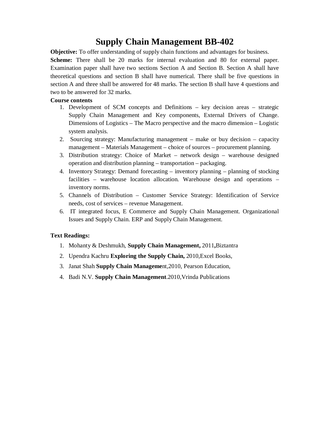## **Supply Chain Management BB-402**

**Objective:** To offer understanding of supply chain functions and advantages for business. **Scheme:** There shall be 20 marks for internal evaluation and 80 for external paper. Examination paper shall have two sections Section A and Section B. Section A shall have theoretical questions and section B shall have numerical. There shall be five questions in section A and three shall be answered for 48 marks. The section B shall have 4 questions and two to be answered for 32 marks.

### **Course contents**

- 1. Development of SCM concepts and Definitions key decision areas strategic Supply Chain Management and Key components, External Drivers of Change. Dimensions of Logistics – The Macro perspective and the macro dimension – Logistic system analysis.
- 2. Sourcing strategy: Manufacturing management make or buy decision capacity management – Materials Management – choice of sources – procurement planning.
- 3. Distribution strategy: Choice of Market network design warehouse designed operation and distribution planning – transportation – packaging.
- 4. Inventory Strategy: Demand forecasting inventory planning planning of stocking facilities – warehouse location allocation. Warehouse design and operations – inventory norms.
- 5. Channels of Distribution Customer Service Strategy: Identification of Service needs, cost of services – revenue Management.
- 6. IT integrated focus, E Commerce and Supply Chain Management. Organizational Issues and Supply Chain. ERP and Supply Chain Management.

### **Text Readings:**

- 1. Mohanty & Deshmukh, **Supply Chain Management,** 2011**,**Biztantra
- 2. Upendra Kachru **Exploring the Supply Chain,** 2010,Excel Books,
- 3. Janat Shah **Supply Chain Manageme**nt,2010, Pearson Education,
- 4. Badi N.V. **Supply Chain Management**.2010,Vrinda Publications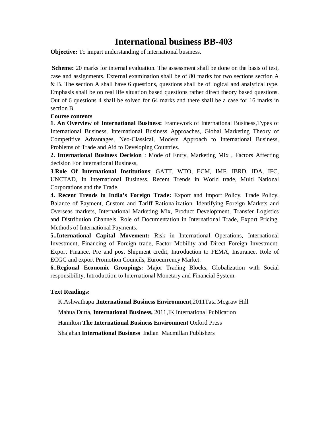### **International business BB-403**

**Objective:** To impart understanding of international business.

**Scheme:** 20 marks for internal evaluation. The assessment shall be done on the basis of test, case and assignments. External examination shall be of 80 marks for two sections section A & B. The section A shall have 6 questions, questions shall be of logical and analytical type. Emphasis shall be on real life situation based questions rather direct theory based questions. Out of 6 questions 4 shall be solved for 64 marks and there shall be a case for 16 marks in section B.

### **Course contents**

**1**. **An Overview of International Business:** Framework of International Business,Types of International Business, International Business Approaches, Global Marketing Theory of Competitive Advantages, Neo-Classical, Modern Approach to International Business, Problems of Trade and Aid to Developing Countries.

**2. International Business Decision** : Mode of Entry, Marketing Mix , Factors Affecting decision For International Business,

**3**.**Role Of International Institutions**: GATT, WTO, ECM, IMF, IBRD, IDA, IFC, UNCTAD, In International Business. Recent Trends in World trade, Multi National Corporations and the Trade.

**4. Recent Trends in India's Foreign Trade:** Export and Import Policy, Trade Policy, Balance of Payment, Custom and Tariff Rationalization. Identifying Foreign Markets and Overseas markets, International Marketing Mix, Product Development, Transfer Logistics and Distribution Channels, Role of Documentation in International Trade, Export Pricing, Methods of International Payments.

**5..International Capital Movement:** Risk in International Operations, International Investment, Financing of Foreign trade, Factor Mobility and Direct Foreign Investment. Export Finance, Pre and post Shipment credit, Introduction to FEMA, Insurance. Role of ECGC and export Promotion Councils, Eurocurrency Market.

**6**..**Regional Economic Groupings:** Major Trading Blocks, Globalization with Social responsibility, Introduction to International Monetary and Financial System.

#### **Text Readings:**

K.Ashwathapa ,**International Business Environment**,2011Tata Mcgraw Hill

Mahua Dutta, **International Business,** 2011,IK International Publication

Hamilton **The International Business Environment** Oxford Press

Shajahan **International Business** Indian Macmillan Publishers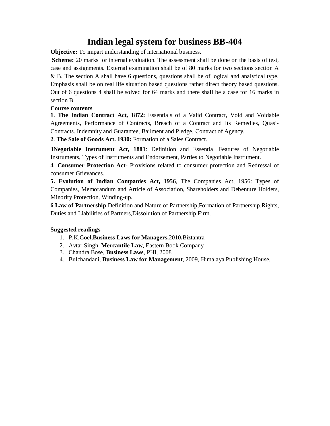### **Indian legal system for business BB-404**

**Objective:** To impart understanding of international business.

**Scheme:** 20 marks for internal evaluation. The assessment shall be done on the basis of test, case and assignments. External examination shall be of 80 marks for two sections section A & B. The section A shall have 6 questions, questions shall be of logical and analytical type. Emphasis shall be on real life situation based questions rather direct theory based questions. Out of 6 questions 4 shall be solved for 64 marks and there shall be a case for 16 marks in section B.

### **Course contents**

**1**. **The Indian Contract Act, 1872:** Essentials of a Valid Contract, Void and Voidable Agreements, Performance of Contracts, Breach of a Contract and Its Remedies, Quasi-Contracts. Indemnity and Guarantee, Bailment and Pledge, Contract of Agency.

**2**. **The Sale of Goods Act. 1930:** Formation of a Sales Contract.

**3Negotiable Instrument Act, 1881**: Definition and Essential Features of Negotiable Instruments, Types of Instruments and Endorsement, Parties to Negotiable Instrument.

4. **Consumer Protection Act**- Provisions related to consumer protection and Redressal of consumer Grievances.

**5. Evolution of Indian Companies Act, 1956**, The Companies Act, 1956: Types of Companies, Memorandum and Article of Association, Shareholders and Debenture Holders, Minority Protection, Winding-up.

**6**.**Law of Partnership**:Definition and Nature of Partnership,Formation of Partnership,Rights, Duties and Liabilities of Partners,Dissolution of Partnership Firm.

### **Suggested readings**

- 1. P.K.Goel**,Business Laws for Managers,**2010**,**Biztantra
- 2. Avtar Singh, **Mercantile Law**, Eastern Book Company
- 3. Chandra Bose, **Business Laws**, PHI, 2008
- 4. Bulchandani, **Business Law for Management**, 2009, Himalaya Publishing House.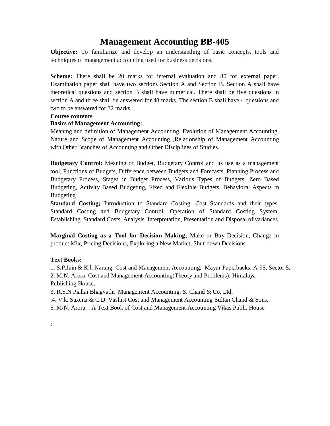### **Management Accounting BB-405**

**Objective:** To familiarize and develop an understanding of basic concepts, tools and techniques of management accounting used for business decisions.

**Scheme:** There shall be 20 marks for internal evaluation and 80 for external paper. Examination paper shall have two sections Section A and Section B. Section A shall have theoretical questions and section B shall have numerical. There shall be five questions in section A and three shall be answered for 48 marks. The section B shall have 4 questions and two to be answered for 32 marks.

#### **Course contents**

#### **Basics of Management Accounting:**

Meaning and definition of Management Accounting, Evolution of Management Accounting, Nature and Scope of Management Accounting ,Relationship of Management Accounting with Other Branches of Accounting and Other Disciplines of Studies.

**Budgetary Control:** Meaning of Budget, Budgetary Control and its use as a management tool, Functions of Budgets, Difference between Budgets and Forecasts, Planning Process and Budgetary Process, Stages in Budget Process, Various Types of Budgets, Zero Based Budgeting, Activity Based Budgeting, Fixed and Flexible Budgets, Behavioral Aspects in Budgeting

**Standard Costing;** Introduction to Standard Costing, Cost Standards and their types, Standard Costing and Budgetary Control, Operation of Standard Costing System, Establishing Standard Costs, Analysis, Interpretation, Presentation and Disposal of variances

**Marginal Costing as a Tool for Decision Making;** Make or Buy Decision, Change in product Mix, Pricing Decisions, Exploring a New Market, Shut-down Decisions

#### **Text Books:**

1. S.P.Jain & K.l. Narang Cost and Management Accounting; Mayur Paperbacks, A-95, Sector 5, 2. M.N. Arora Cost and Management Accounting(Theory and Problems); Himalaya Publishing House,

3. R.S.N Piallai Bhagvathi Management Accounting; S. Chand & Co. Ltd.

.4. V.k. Saxena & C.D. Vashist Cost and Management Accounting Sultan Chand & Sons,

5. M/N. Arora : A Text Book of Cost and Management Accounting Vikas Publi. House

;